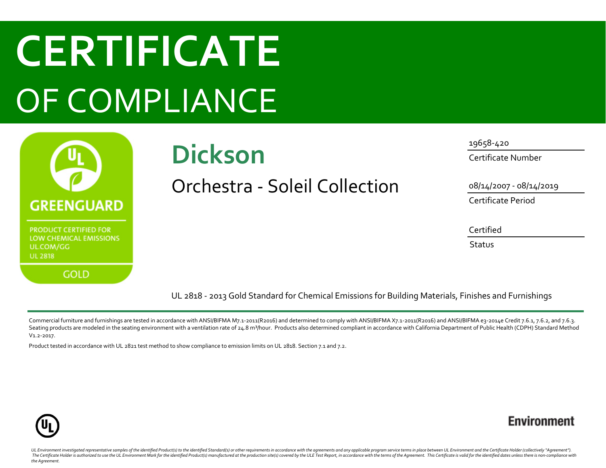# **CERTIFICATE** OF COMPLIANCE



## **Dickson**

Orchestra - Soleil Collection

19658-420 Certificate Number

08/14/2007 - 08/14/2019

Certificate Period

Certified

**Status** 

UL 2818 - 2013 Gold Standard for Chemical Emissions for Building Materials, Finishes and Furnishings

Commercial furniture and furnishings are tested in accordance with ANSI/BIFMA M7.1-2011(R2016) and determined to comply with ANSI/BIFMA X7.1-2011(R2016) and ANSI/BIFMA e3-2014e Credit 7.6.1, 7.6.2, and 7.6.3. Seating products are modeled in the seating environment with a ventilation rate of 24.8 m<sup>3</sup>/hour. Products also determined compliant in accordance with California Department of Public Health (CDPH) Standard Method V1.2-2017.

Product tested in accordance with UL 2821 test method to show compliance to emission limits on UL 2818. Section 7.1 and 7.2.



### **Environment**

UL Environment investigated representative samples of the identified Product(s) to the identified Standard(s) or other requirements in accordance with the agreements and any applicable program service terms in place betwee The Certificate Holder is authorized to use the UL Environment Mark for the identified Product(s) manufactured at the production site(s) covered by the ULE Test Report, in accordance with the terms of the Agreement. This C *the Agreement.*